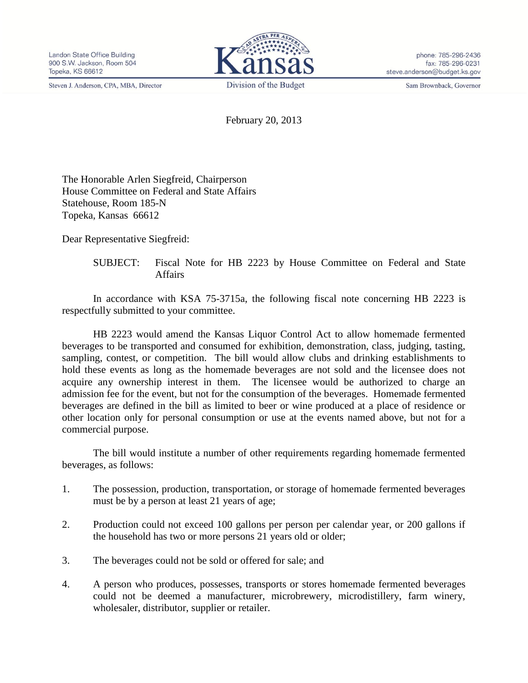Steven J. Anderson, CPA, MBA, Director



phone: 785-296-2436 fax: 785-296-0231 steve.anderson@budget.ks.gov

Sam Brownback, Governor

February 20, 2013

The Honorable Arlen Siegfreid, Chairperson House Committee on Federal and State Affairs Statehouse, Room 185-N Topeka, Kansas 66612

Dear Representative Siegfreid:

SUBJECT: Fiscal Note for HB 2223 by House Committee on Federal and State Affairs

In accordance with KSA 75-3715a, the following fiscal note concerning HB 2223 is respectfully submitted to your committee.

HB 2223 would amend the Kansas Liquor Control Act to allow homemade fermented beverages to be transported and consumed for exhibition, demonstration, class, judging, tasting, sampling, contest, or competition. The bill would allow clubs and drinking establishments to hold these events as long as the homemade beverages are not sold and the licensee does not acquire any ownership interest in them. The licensee would be authorized to charge an admission fee for the event, but not for the consumption of the beverages. Homemade fermented beverages are defined in the bill as limited to beer or wine produced at a place of residence or other location only for personal consumption or use at the events named above, but not for a commercial purpose.

The bill would institute a number of other requirements regarding homemade fermented beverages, as follows:

- 1. The possession, production, transportation, or storage of homemade fermented beverages must be by a person at least 21 years of age;
- 2. Production could not exceed 100 gallons per person per calendar year, or 200 gallons if the household has two or more persons 21 years old or older;
- 3. The beverages could not be sold or offered for sale; and
- 4. A person who produces, possesses, transports or stores homemade fermented beverages could not be deemed a manufacturer, microbrewery, microdistillery, farm winery, wholesaler, distributor, supplier or retailer.